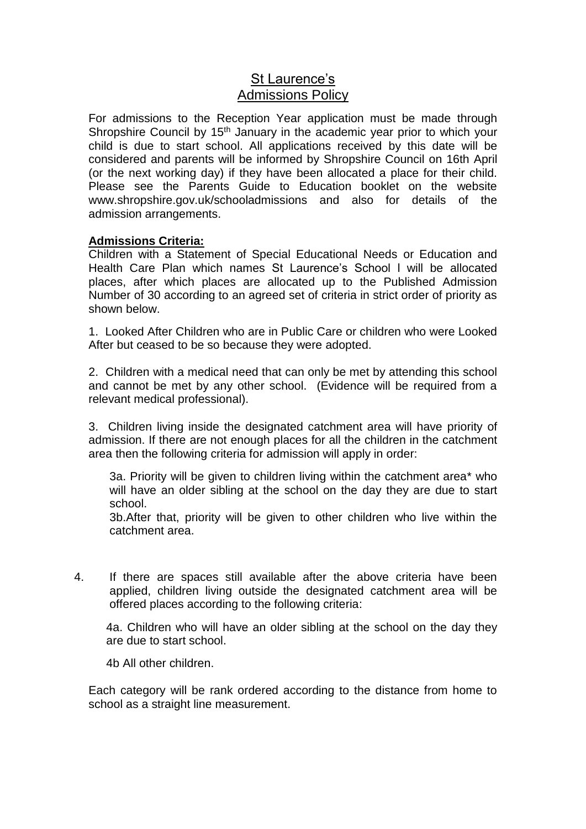## St Laurence's Admissions Policy

For admissions to the Reception Year application must be made through Shropshire Council by  $15<sup>th</sup>$  January in the academic year prior to which your child is due to start school. All applications received by this date will be considered and parents will be informed by Shropshire Council on 16th April (or the next working day) if they have been allocated a place for their child. Please see the Parents Guide to Education booklet on the website www.shropshire.gov.uk/schooladmissions and also for details of the admission arrangements.

## **Admissions Criteria:**

Children with a Statement of Special Educational Needs or Education and Health Care Plan which names St Laurence's School l will be allocated places, after which places are allocated up to the Published Admission Number of 30 according to an agreed set of criteria in strict order of priority as shown below.

1. Looked After Children who are in Public Care or children who were Looked After but ceased to be so because they were adopted.

2. Children with a medical need that can only be met by attending this school and cannot be met by any other school. (Evidence will be required from a relevant medical professional).

3. Children living inside the designated catchment area will have priority of admission. If there are not enough places for all the children in the catchment area then the following criteria for admission will apply in order:

3a. Priority will be given to children living within the catchment area\* who will have an older sibling at the school on the day they are due to start school.

3b.After that, priority will be given to other children who live within the catchment area.

4. If there are spaces still available after the above criteria have been applied, children living outside the designated catchment area will be offered places according to the following criteria:

4a. Children who will have an older sibling at the school on the day they are due to start school.

4b All other children.

Each category will be rank ordered according to the distance from home to school as a straight line measurement.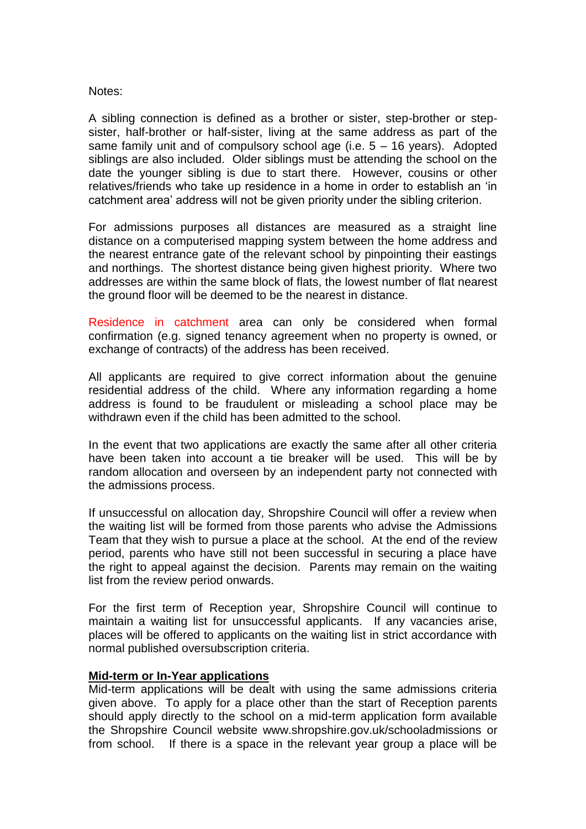## Notes:

A sibling connection is defined as a brother or sister, step-brother or stepsister, half-brother or half-sister, living at the same address as part of the same family unit and of compulsory school age (i.e.  $5 - 16$  years). Adopted siblings are also included. Older siblings must be attending the school on the date the younger sibling is due to start there. However, cousins or other relatives/friends who take up residence in a home in order to establish an 'in catchment area' address will not be given priority under the sibling criterion.

For admissions purposes all distances are measured as a straight line distance on a computerised mapping system between the home address and the nearest entrance gate of the relevant school by pinpointing their eastings and northings. The shortest distance being given highest priority. Where two addresses are within the same block of flats, the lowest number of flat nearest the ground floor will be deemed to be the nearest in distance.

Residence in catchment area can only be considered when formal confirmation (e.g. signed tenancy agreement when no property is owned, or exchange of contracts) of the address has been received.

All applicants are required to give correct information about the genuine residential address of the child. Where any information regarding a home address is found to be fraudulent or misleading a school place may be withdrawn even if the child has been admitted to the school.

In the event that two applications are exactly the same after all other criteria have been taken into account a tie breaker will be used. This will be by random allocation and overseen by an independent party not connected with the admissions process.

If unsuccessful on allocation day, Shropshire Council will offer a review when the waiting list will be formed from those parents who advise the Admissions Team that they wish to pursue a place at the school. At the end of the review period, parents who have still not been successful in securing a place have the right to appeal against the decision. Parents may remain on the waiting list from the review period onwards.

For the first term of Reception year, Shropshire Council will continue to maintain a waiting list for unsuccessful applicants. If any vacancies arise, places will be offered to applicants on the waiting list in strict accordance with normal published oversubscription criteria.

## **Mid-term or In-Year applications**

Mid-term applications will be dealt with using the same admissions criteria given above. To apply for a place other than the start of Reception parents should apply directly to the school on a mid-term application form available the Shropshire Council website www.shropshire.gov.uk/schooladmissions or from school. If there is a space in the relevant year group a place will be